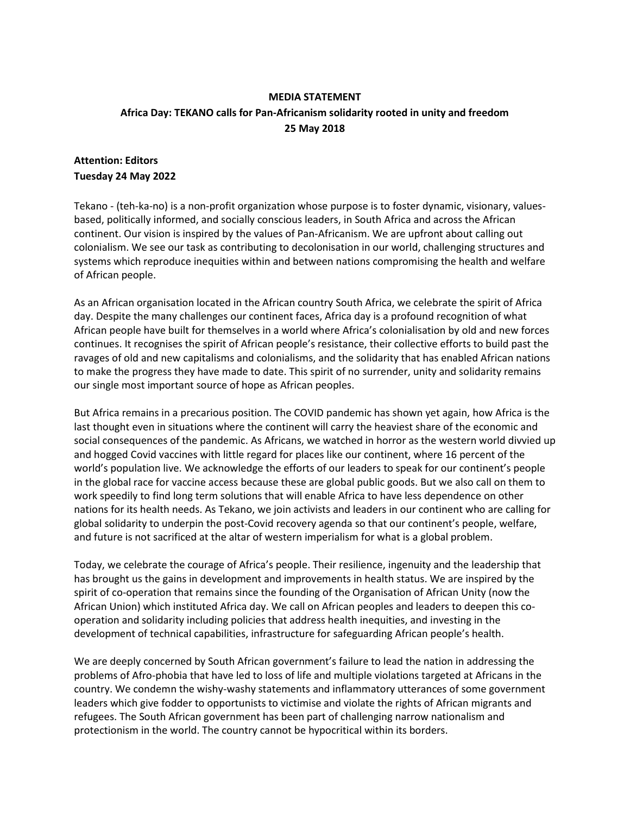## **MEDIA STATEMENT Africa Day: TEKANO calls for Pan-Africanism solidarity rooted in unity and freedom 25 May 2018**

## **Attention: Editors Tuesday 24 May 2022**

Tekano - (teh-ka-no) is a non-profit organization whose purpose is to foster dynamic, visionary, valuesbased, politically informed, and socially conscious leaders, in South Africa and across the African continent. Our vision is inspired by the values of Pan-Africanism. We are upfront about calling out colonialism. We see our task as contributing to decolonisation in our world, challenging structures and systems which reproduce inequities within and between nations compromising the health and welfare of African people.

As an African organisation located in the African country South Africa, we celebrate the spirit of Africa day. Despite the many challenges our continent faces, Africa day is a profound recognition of what African people have built for themselves in a world where Africa's colonialisation by old and new forces continues. It recognises the spirit of African people's resistance, their collective efforts to build past the ravages of old and new capitalisms and colonialisms, and the solidarity that has enabled African nations to make the progress they have made to date. This spirit of no surrender, unity and solidarity remains our single most important source of hope as African peoples.

But Africa remains in a precarious position. The COVID pandemic has shown yet again, how Africa is the last thought even in situations where the continent will carry the heaviest share of the economic and social consequences of the pandemic. As Africans, we watched in horror as the western world divvied up and hogged Covid vaccines with little regard for places like our continent, where 16 percent of the world's population live. We acknowledge the efforts of our leaders to speak for our continent's people in the global race for vaccine access because these are global public goods. But we also call on them to work speedily to find long term solutions that will enable Africa to have less dependence on other nations for its health needs. As Tekano, we join activists and leaders in our continent who are calling for global solidarity to underpin the post-Covid recovery agenda so that our continent's people, welfare, and future is not sacrificed at the altar of western imperialism for what is a global problem.

Today, we celebrate the courage of Africa's people. Their resilience, ingenuity and the leadership that has brought us the gains in development and improvements in health status. We are inspired by the spirit of co-operation that remains since the founding of the Organisation of African Unity (now the African Union) which instituted Africa day. We call on African peoples and leaders to deepen this cooperation and solidarity including policies that address health inequities, and investing in the development of technical capabilities, infrastructure for safeguarding African people's health.

We are deeply concerned by South African government's failure to lead the nation in addressing the problems of Afro-phobia that have led to loss of life and multiple violations targeted at Africans in the country. We condemn the wishy-washy statements and inflammatory utterances of some government leaders which give fodder to opportunists to victimise and violate the rights of African migrants and refugees. The South African government has been part of challenging narrow nationalism and protectionism in the world. The country cannot be hypocritical within its borders.